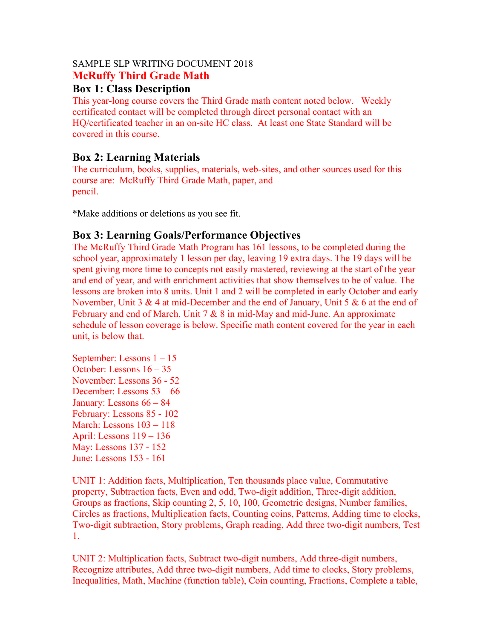#### SAMPLE SLP WRITING DOCUMENT 2018 **McRuffy Third Grade Math**

## **Box 1: Class Description**

This year-long course covers the Third Grade math content noted below. Weekly certificated contact will be completed through direct personal contact with an HQ/certificated teacher in an on-site HC class. At least one State Standard will be covered in this course.

# **Box 2: Learning Materials**

The curriculum, books, supplies, materials, web-sites, and other sources used for this course are: McRuffy Third Grade Math, paper, and pencil.

\*Make additions or deletions as you see fit.

## **Box 3: Learning Goals/Performance Objectives**

The McRuffy Third Grade Math Program has 161 lessons, to be completed during the school year, approximately 1 lesson per day, leaving 19 extra days. The 19 days will be spent giving more time to concepts not easily mastered, reviewing at the start of the year and end of year, and with enrichment activities that show themselves to be of value. The lessons are broken into 8 units. Unit 1 and 2 will be completed in early October and early November, Unit 3 & 4 at mid-December and the end of January, Unit 5 & 6 at the end of February and end of March, Unit 7 & 8 in mid-May and mid-June. An approximate schedule of lesson coverage is below. Specific math content covered for the year in each unit, is below that.

September: Lessons 1 – 15 October: Lessons 16 – 35 November: Lessons 36 - 52 December: Lessons 53 – 66 January: Lessons 66 – 84 February: Lessons 85 - 102 March: Lessons 103 – 118 April: Lessons 119 – 136 May: Lessons 137 - 152 June: Lessons 153 - 161

UNIT 1: Addition facts, Multiplication, Ten thousands place value, Commutative property, Subtraction facts, Even and odd, Two-digit addition, Three-digit addition, Groups as fractions, Skip counting 2, 5, 10, 100, Geometric designs, Number families, Circles as fractions, Multiplication facts, Counting coins, Patterns, Adding time to clocks, Two-digit subtraction, Story problems, Graph reading, Add three two-digit numbers, Test 1.

UNIT 2: Multiplication facts, Subtract two-digit numbers, Add three-digit numbers, Recognize attributes, Add three two-digit numbers, Add time to clocks, Story problems, Inequalities, Math, Machine (function table), Coin counting, Fractions, Complete a table,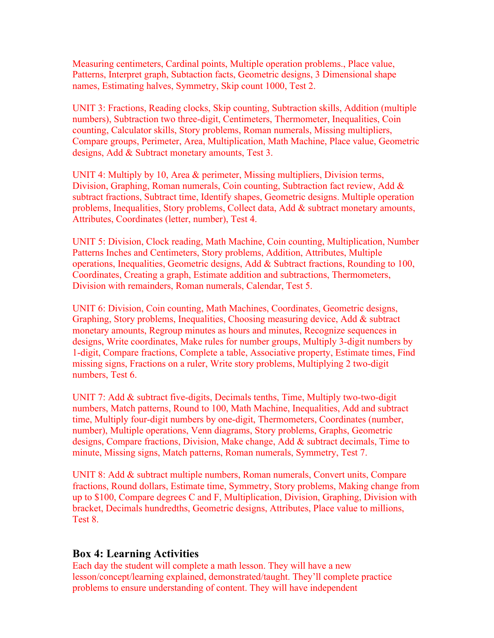Measuring centimeters, Cardinal points, Multiple operation problems., Place value, Patterns, Interpret graph, Subtaction facts, Geometric designs, 3 Dimensional shape names, Estimating halves, Symmetry, Skip count 1000, Test 2.

UNIT 3: Fractions, Reading clocks, Skip counting, Subtraction skills, Addition (multiple numbers), Subtraction two three-digit, Centimeters, Thermometer, Inequalities, Coin counting, Calculator skills, Story problems, Roman numerals, Missing multipliers, Compare groups, Perimeter, Area, Multiplication, Math Machine, Place value, Geometric designs, Add & Subtract monetary amounts, Test 3.

UNIT 4: Multiply by 10, Area & perimeter, Missing multipliers, Division terms, Division, Graphing, Roman numerals, Coin counting, Subtraction fact review, Add & subtract fractions, Subtract time, Identify shapes, Geometric designs. Multiple operation problems, Inequalities, Story problems, Collect data, Add & subtract monetary amounts, Attributes, Coordinates (letter, number), Test 4.

UNIT 5: Division, Clock reading, Math Machine, Coin counting, Multiplication, Number Patterns Inches and Centimeters, Story problems, Addition, Attributes, Multiple operations, Inequalities, Geometric designs, Add & Subtract fractions, Rounding to 100, Coordinates, Creating a graph, Estimate addition and subtractions, Thermometers, Division with remainders, Roman numerals, Calendar, Test 5.

UNIT 6: Division, Coin counting, Math Machines, Coordinates, Geometric designs, Graphing, Story problems, Inequalities, Choosing measuring device, Add & subtract monetary amounts, Regroup minutes as hours and minutes, Recognize sequences in designs, Write coordinates, Make rules for number groups, Multiply 3-digit numbers by 1-digit, Compare fractions, Complete a table, Associative property, Estimate times, Find missing signs, Fractions on a ruler, Write story problems, Multiplying 2 two-digit numbers, Test 6.

UNIT 7: Add & subtract five-digits, Decimals tenths, Time, Multiply two-two-digit numbers, Match patterns, Round to 100, Math Machine, Inequalities, Add and subtract time, Multiply four-digit numbers by one-digit, Thermometers, Coordinates (number, number), Multiple operations, Venn diagrams, Story problems, Graphs, Geometric designs, Compare fractions, Division, Make change, Add & subtract decimals, Time to minute, Missing signs, Match patterns, Roman numerals, Symmetry, Test 7.

UNIT 8: Add & subtract multiple numbers, Roman numerals, Convert units, Compare fractions, Round dollars, Estimate time, Symmetry, Story problems, Making change from up to \$100, Compare degrees C and F, Multiplication, Division, Graphing, Division with bracket, Decimals hundredths, Geometric designs, Attributes, Place value to millions, Test 8.

#### **Box 4: Learning Activities**

Each day the student will complete a math lesson. They will have a new lesson/concept/learning explained, demonstrated/taught. They'll complete practice problems to ensure understanding of content. They will have independent